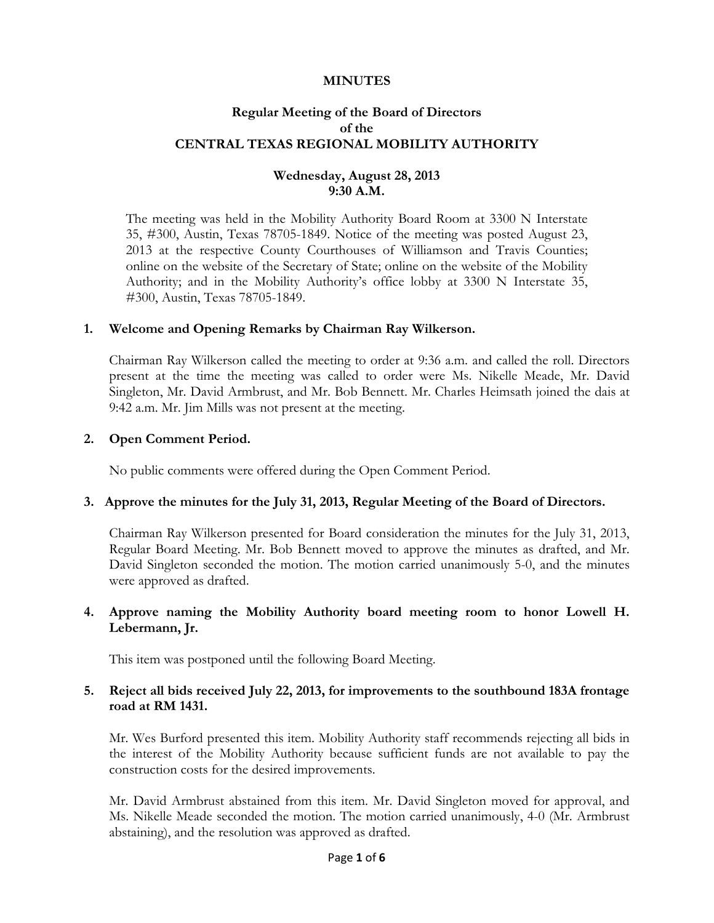### **MINUTES**

# **Regular Meeting of the Board of Directors of the CENTRAL TEXAS REGIONAL MOBILITY AUTHORITY**

# **Wednesday, August 28, 2013 9:30 A.M.**

The meeting was held in the Mobility Authority Board Room at 3300 N Interstate 35, #300, Austin, Texas 78705-1849. Notice of the meeting was posted August 23, 2013 at the respective County Courthouses of Williamson and Travis Counties; online on the website of the Secretary of State; online on the website of the Mobility Authority; and in the Mobility Authority's office lobby at 3300 N Interstate 35, #300, Austin, Texas 78705-1849.

### **1. Welcome and Opening Remarks by Chairman Ray Wilkerson.**

Chairman Ray Wilkerson called the meeting to order at 9:36 a.m. and called the roll. Directors present at the time the meeting was called to order were Ms. Nikelle Meade, Mr. David Singleton, Mr. David Armbrust, and Mr. Bob Bennett. Mr. Charles Heimsath joined the dais at 9:42 a.m. Mr. Jim Mills was not present at the meeting.

### **2. Open Comment Period.**

No public comments were offered during the Open Comment Period.

### **3. Approve the minutes for the July 31, 2013, Regular Meeting of the Board of Directors.**

Chairman Ray Wilkerson presented for Board consideration the minutes for the July 31, 2013, Regular Board Meeting. Mr. Bob Bennett moved to approve the minutes as drafted, and Mr. David Singleton seconded the motion. The motion carried unanimously 5-0, and the minutes were approved as drafted.

### **4. Approve naming the Mobility Authority board meeting room to honor Lowell H. Lebermann, Jr.**

This item was postponed until the following Board Meeting.

#### **5. Reject all bids received July 22, 2013, for improvements to the southbound 183A frontage road at RM 1431.**

Mr. Wes Burford presented this item. Mobility Authority staff recommends rejecting all bids in the interest of the Mobility Authority because sufficient funds are not available to pay the construction costs for the desired improvements.

Mr. David Armbrust abstained from this item. Mr. David Singleton moved for approval, and Ms. Nikelle Meade seconded the motion. The motion carried unanimously, 4-0 (Mr. Armbrust abstaining), and the resolution was approved as drafted.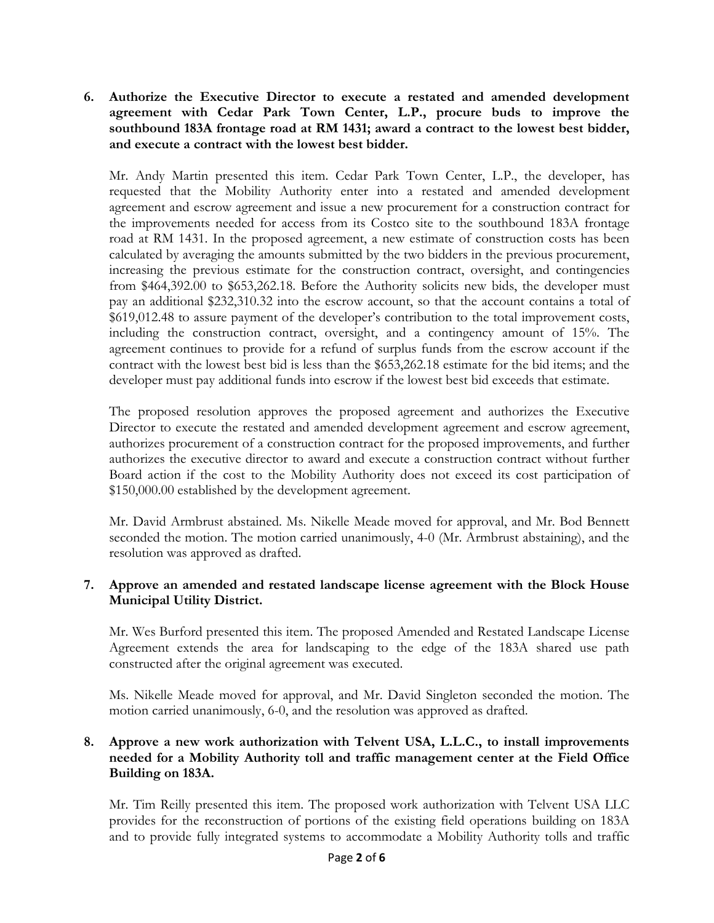**6. Authorize the Executive Director to execute a restated and amended development agreement with Cedar Park Town Center, L.P., procure buds to improve the southbound 183A frontage road at RM 1431; award a contract to the lowest best bidder, and execute a contract with the lowest best bidder.**

Mr. Andy Martin presented this item. Cedar Park Town Center, L.P., the developer, has requested that the Mobility Authority enter into a restated and amended development agreement and escrow agreement and issue a new procurement for a construction contract for the improvements needed for access from its Costco site to the southbound 183A frontage road at RM 1431. In the proposed agreement, a new estimate of construction costs has been calculated by averaging the amounts submitted by the two bidders in the previous procurement, increasing the previous estimate for the construction contract, oversight, and contingencies from \$464,392.00 to \$653,262.18. Before the Authority solicits new bids, the developer must pay an additional \$232,310.32 into the escrow account, so that the account contains a total of \$619,012.48 to assure payment of the developer's contribution to the total improvement costs, including the construction contract, oversight, and a contingency amount of 15%. The agreement continues to provide for a refund of surplus funds from the escrow account if the contract with the lowest best bid is less than the \$653,262.18 estimate for the bid items; and the developer must pay additional funds into escrow if the lowest best bid exceeds that estimate.

The proposed resolution approves the proposed agreement and authorizes the Executive Director to execute the restated and amended development agreement and escrow agreement, authorizes procurement of a construction contract for the proposed improvements, and further authorizes the executive director to award and execute a construction contract without further Board action if the cost to the Mobility Authority does not exceed its cost participation of \$150,000.00 established by the development agreement.

Mr. David Armbrust abstained. Ms. Nikelle Meade moved for approval, and Mr. Bod Bennett seconded the motion. The motion carried unanimously, 4-0 (Mr. Armbrust abstaining), and the resolution was approved as drafted.

# **7. Approve an amended and restated landscape license agreement with the Block House Municipal Utility District.**

Mr. Wes Burford presented this item. The proposed Amended and Restated Landscape License Agreement extends the area for landscaping to the edge of the 183A shared use path constructed after the original agreement was executed.

Ms. Nikelle Meade moved for approval, and Mr. David Singleton seconded the motion. The motion carried unanimously, 6-0, and the resolution was approved as drafted.

# **8. Approve a new work authorization with Telvent USA, L.L.C., to install improvements needed for a Mobility Authority toll and traffic management center at the Field Office Building on 183A.**

Mr. Tim Reilly presented this item. The proposed work authorization with Telvent USA LLC provides for the reconstruction of portions of the existing field operations building on 183A and to provide fully integrated systems to accommodate a Mobility Authority tolls and traffic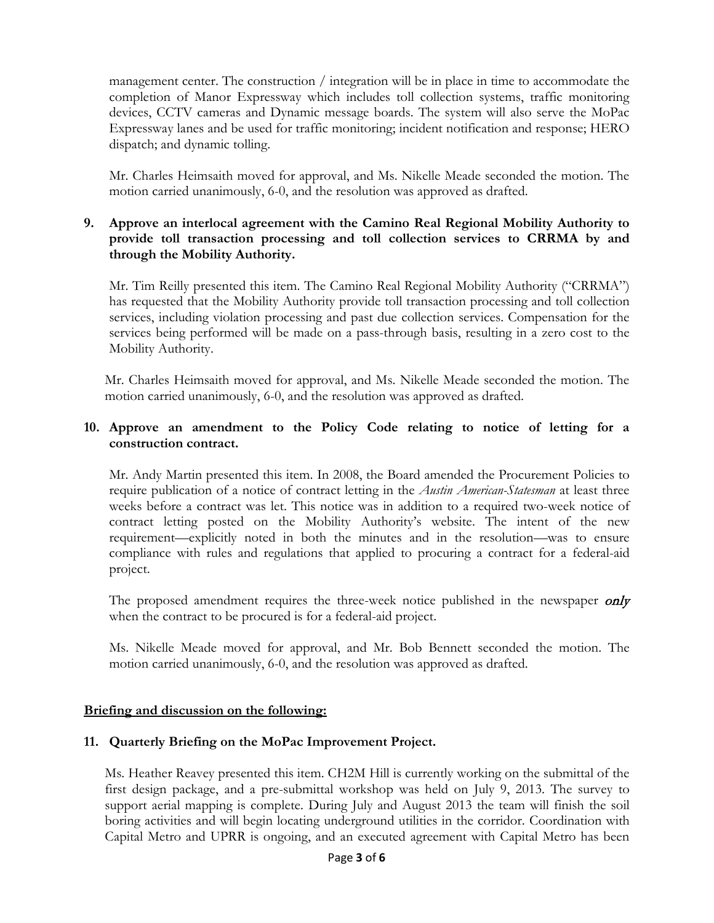management center. The construction / integration will be in place in time to accommodate the completion of Manor Expressway which includes toll collection systems, traffic monitoring devices, CCTV cameras and Dynamic message boards. The system will also serve the MoPac Expressway lanes and be used for traffic monitoring; incident notification and response; HERO dispatch; and dynamic tolling.

Mr. Charles Heimsaith moved for approval, and Ms. Nikelle Meade seconded the motion. The motion carried unanimously, 6-0, and the resolution was approved as drafted.

## **9. Approve an interlocal agreement with the Camino Real Regional Mobility Authority to provide toll transaction processing and toll collection services to CRRMA by and through the Mobility Authority.**

Mr. Tim Reilly presented this item. The Camino Real Regional Mobility Authority ("CRRMA") has requested that the Mobility Authority provide toll transaction processing and toll collection services, including violation processing and past due collection services. Compensation for the services being performed will be made on a pass-through basis, resulting in a zero cost to the Mobility Authority.

Mr. Charles Heimsaith moved for approval, and Ms. Nikelle Meade seconded the motion. The motion carried unanimously, 6-0, and the resolution was approved as drafted.

# **10. Approve an amendment to the Policy Code relating to notice of letting for a construction contract.**

Mr. Andy Martin presented this item. In 2008, the Board amended the Procurement Policies to require publication of a notice of contract letting in the *Austin American-Statesman* at least three weeks before a contract was let. This notice was in addition to a required two-week notice of contract letting posted on the Mobility Authority's website. The intent of the new requirement—explicitly noted in both the minutes and in the resolution—was to ensure compliance with rules and regulations that applied to procuring a contract for a federal-aid project.

The proposed amendment requires the three-week notice published in the newspaper only when the contract to be procured is for a federal-aid project.

Ms. Nikelle Meade moved for approval, and Mr. Bob Bennett seconded the motion. The motion carried unanimously, 6-0, and the resolution was approved as drafted.

### **Briefing and discussion on the following:**

### **11. Quarterly Briefing on the MoPac Improvement Project.**

Ms. Heather Reavey presented this item. CH2M Hill is currently working on the submittal of the first design package, and a pre-submittal workshop was held on July 9, 2013. The survey to support aerial mapping is complete. During July and August 2013 the team will finish the soil boring activities and will begin locating underground utilities in the corridor. Coordination with Capital Metro and UPRR is ongoing, and an executed agreement with Capital Metro has been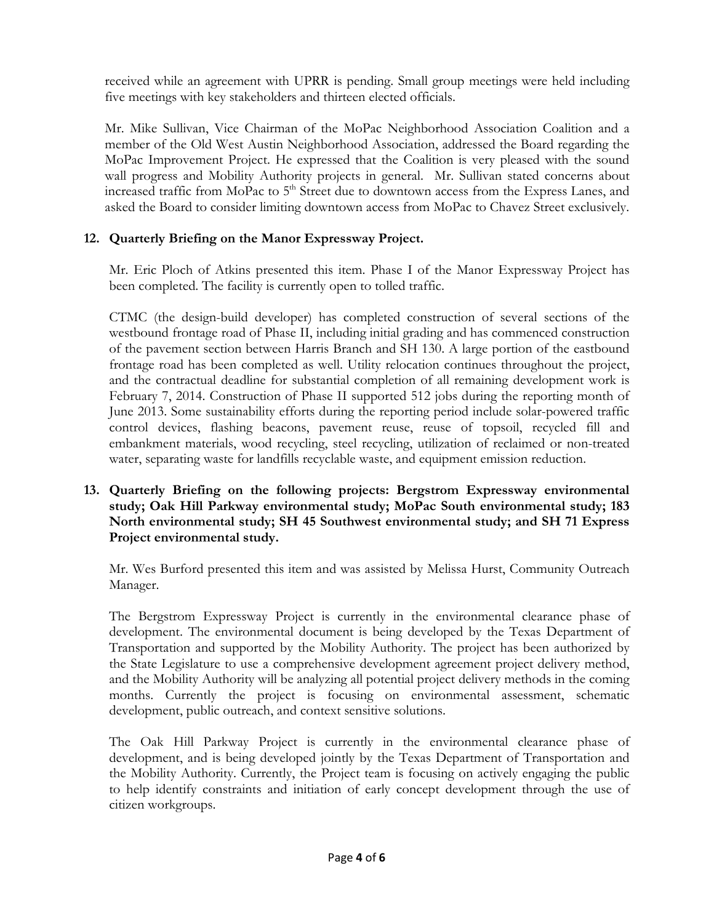received while an agreement with UPRR is pending. Small group meetings were held including five meetings with key stakeholders and thirteen elected officials.

Mr. Mike Sullivan, Vice Chairman of the MoPac Neighborhood Association Coalition and a member of the Old West Austin Neighborhood Association, addressed the Board regarding the MoPac Improvement Project. He expressed that the Coalition is very pleased with the sound wall progress and Mobility Authority projects in general. Mr. Sullivan stated concerns about increased traffic from MoPac to  $5<sup>th</sup>$  Street due to downtown access from the Express Lanes, and asked the Board to consider limiting downtown access from MoPac to Chavez Street exclusively.

# **12. Quarterly Briefing on the Manor Expressway Project.**

Mr. Eric Ploch of Atkins presented this item. Phase I of the Manor Expressway Project has been completed. The facility is currently open to tolled traffic.

CTMC (the design-build developer) has completed construction of several sections of the westbound frontage road of Phase II, including initial grading and has commenced construction of the pavement section between Harris Branch and SH 130. A large portion of the eastbound frontage road has been completed as well. Utility relocation continues throughout the project, and the contractual deadline for substantial completion of all remaining development work is February 7, 2014. Construction of Phase II supported 512 jobs during the reporting month of June 2013. Some sustainability efforts during the reporting period include solar-powered traffic control devices, flashing beacons, pavement reuse, reuse of topsoil, recycled fill and embankment materials, wood recycling, steel recycling, utilization of reclaimed or non-treated water, separating waste for landfills recyclable waste, and equipment emission reduction.

**13. Quarterly Briefing on the following projects: Bergstrom Expressway environmental study; Oak Hill Parkway environmental study; MoPac South environmental study; 183 North environmental study; SH 45 Southwest environmental study; and SH 71 Express Project environmental study.**

Mr. Wes Burford presented this item and was assisted by Melissa Hurst, Community Outreach Manager.

The Bergstrom Expressway Project is currently in the environmental clearance phase of development. The environmental document is being developed by the Texas Department of Transportation and supported by the Mobility Authority. The project has been authorized by the State Legislature to use a comprehensive development agreement project delivery method, and the Mobility Authority will be analyzing all potential project delivery methods in the coming months. Currently the project is focusing on environmental assessment, schematic development, public outreach, and context sensitive solutions.

The Oak Hill Parkway Project is currently in the environmental clearance phase of development, and is being developed jointly by the Texas Department of Transportation and the Mobility Authority. Currently, the Project team is focusing on actively engaging the public to help identify constraints and initiation of early concept development through the use of citizen workgroups.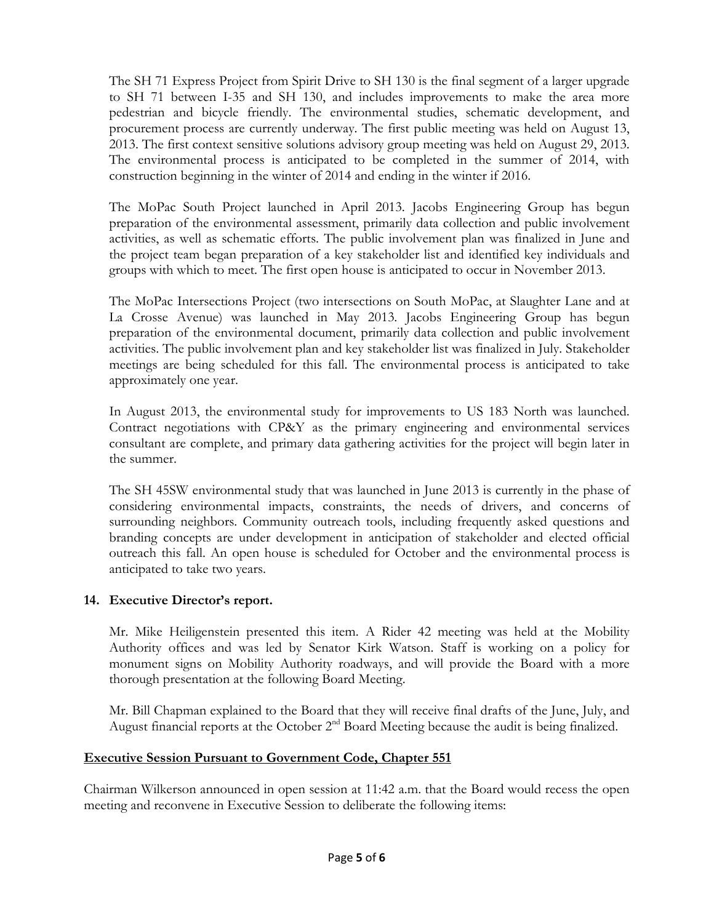The SH 71 Express Project from Spirit Drive to SH 130 is the final segment of a larger upgrade to SH 71 between I-35 and SH 130, and includes improvements to make the area more pedestrian and bicycle friendly. The environmental studies, schematic development, and procurement process are currently underway. The first public meeting was held on August 13, 2013. The first context sensitive solutions advisory group meeting was held on August 29, 2013. The environmental process is anticipated to be completed in the summer of 2014, with construction beginning in the winter of 2014 and ending in the winter if 2016.

The MoPac South Project launched in April 2013. Jacobs Engineering Group has begun preparation of the environmental assessment, primarily data collection and public involvement activities, as well as schematic efforts. The public involvement plan was finalized in June and the project team began preparation of a key stakeholder list and identified key individuals and groups with which to meet. The first open house is anticipated to occur in November 2013.

The MoPac Intersections Project (two intersections on South MoPac, at Slaughter Lane and at La Crosse Avenue) was launched in May 2013. Jacobs Engineering Group has begun preparation of the environmental document, primarily data collection and public involvement activities. The public involvement plan and key stakeholder list was finalized in July. Stakeholder meetings are being scheduled for this fall. The environmental process is anticipated to take approximately one year.

In August 2013, the environmental study for improvements to US 183 North was launched. Contract negotiations with CP&Y as the primary engineering and environmental services consultant are complete, and primary data gathering activities for the project will begin later in the summer.

The SH 45SW environmental study that was launched in June 2013 is currently in the phase of considering environmental impacts, constraints, the needs of drivers, and concerns of surrounding neighbors. Community outreach tools, including frequently asked questions and branding concepts are under development in anticipation of stakeholder and elected official outreach this fall. An open house is scheduled for October and the environmental process is anticipated to take two years.

# **14. Executive Director's report.**

Mr. Mike Heiligenstein presented this item. A Rider 42 meeting was held at the Mobility Authority offices and was led by Senator Kirk Watson. Staff is working on a policy for monument signs on Mobility Authority roadways, and will provide the Board with a more thorough presentation at the following Board Meeting.

Mr. Bill Chapman explained to the Board that they will receive final drafts of the June, July, and August financial reports at the October  $2<sup>nd</sup>$  Board Meeting because the audit is being finalized.

# **Executive Session Pursuant to Government Code, Chapter 551**

Chairman Wilkerson announced in open session at 11:42 a.m. that the Board would recess the open meeting and reconvene in Executive Session to deliberate the following items: